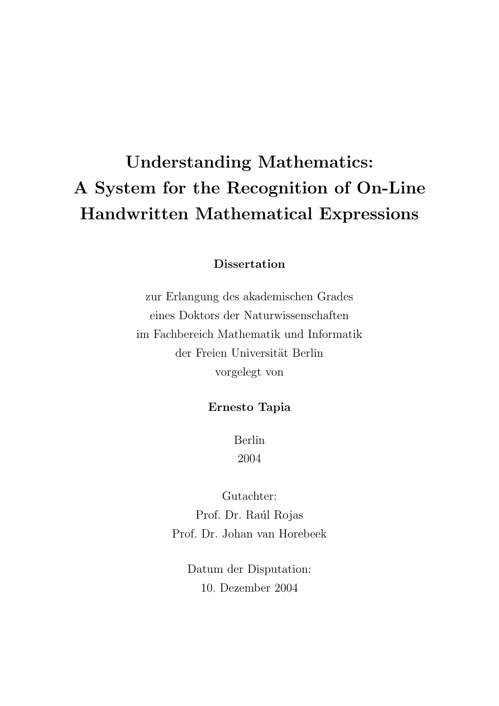# Understanding Mathematics: A System for the Recognition of On-Line Handwritten Mathematical Expressions

**Dissertation** 

zur Erlangung des akademischen Grades eines Doktors der Naturwissenschaften im Fachbereich Mathematik und Informatik der Freien Universität Berlin vorgelegt von

#### Ernesto Tapia

Berlin 2004

Gutachter: Prof. Dr. Raúl Rojas Prof. Dr. Johan van Horebeek

Datum der Disputation: 10. Dezember 2004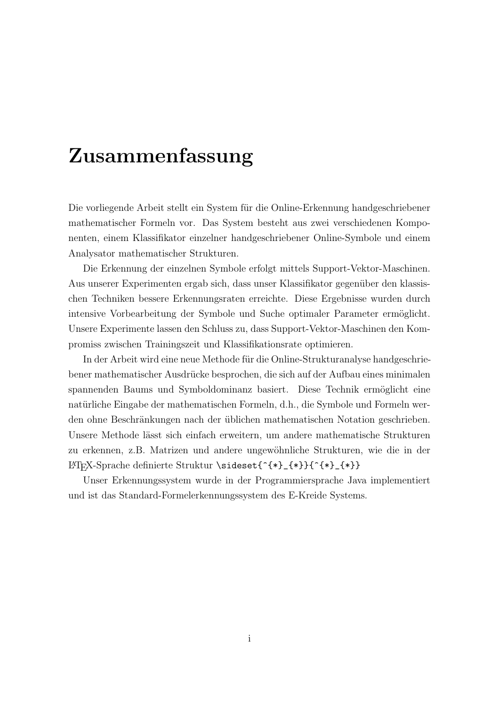### Zusammenfassung

Die vorliegende Arbeit stellt ein System für die Online-Erkennung handgeschriebener mathematischer Formeln vor. Das System besteht aus zwei verschiedenen Komponenten, einem Klassifikator einzelner handgeschriebener Online-Symbole und einem Analysator mathematischer Strukturen.

Die Erkennung der einzelnen Symbole erfolgt mittels Support-Vektor-Maschinen. Aus unserer Experimenten ergab sich, dass unser Klassifikator gegenüber den klassischen Techniken bessere Erkennungsraten erreichte. Diese Ergebnisse wurden durch intensive Vorbearbeitung der Symbole und Suche optimaler Parameter ermöglicht. Unsere Experimente lassen den Schluss zu, dass Support-Vektor-Maschinen den Kompromiss zwischen Trainingszeit und Klassifikationsrate optimieren.

In der Arbeit wird eine neue Methode für die Online-Strukturanalyse handgeschriebener mathematischer Ausdrücke besprochen, die sich auf der Aufbau eines minimalen spannenden Baums und Symboldominanz basiert. Diese Technik ermöglicht eine natürliche Eingabe der mathematischen Formeln, d.h., die Symbole und Formeln werden ohne Beschränkungen nach der üblichen mathematischen Notation geschrieben. Unsere Methode lässt sich einfach erweitern, um andere mathematische Strukturen zu erkennen, z.B. Matrizen und andere ungew¨ohnliche Strukturen, wie die in der LATEX-Sprache definierte Struktur \sideset{^{\*}\_{\*}}{^{\*}\_{\*}}

Unser Erkennungssystem wurde in der Programmiersprache Java implementiert und ist das Standard-Formelerkennungssystem des E-Kreide Systems.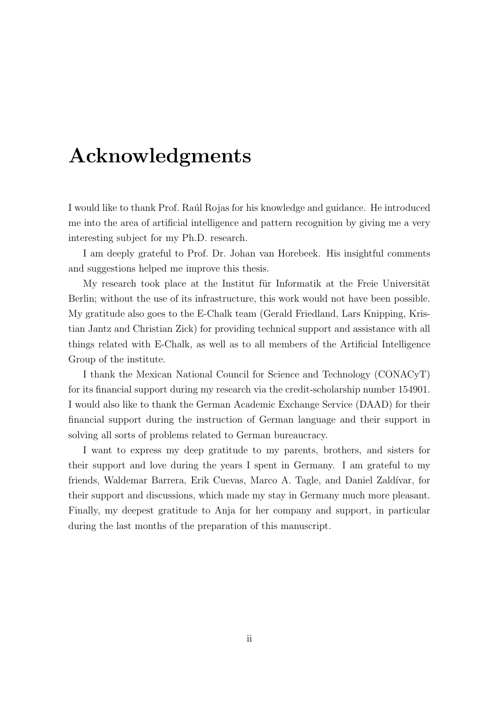#### Acknowledgments

I would like to thank Prof. Raul Rojas for his knowledge and guidance. He introduced me into the area of artificial intelligence and pattern recognition by giving me a very interesting subject for my Ph.D. research.

I am deeply grateful to Prof. Dr. Johan van Horebeek. His insightful comments and suggestions helped me improve this thesis.

My research took place at the Institut fur Informatik at the Freie Universität Berlin; without the use of its infrastructure, this work would not have been possible. My gratitude also goes to the E-Chalk team (Gerald Friedland, Lars Knipping, Kristian Jantz and Christian Zick) for providing technical support and assistance with all things related with E-Chalk, as well as to all members of the Artificial Intelligence Group of the institute.

I thank the Mexican National Council for Science and Technology (CONACyT) for its financial support during my research via the credit-scholarship number 154901. I would also like to thank the German Academic Exchange Service (DAAD) for their financial support during the instruction of German language and their support in solving all sorts of problems related to German bureaucracy.

I want to express my deep gratitude to my parents, brothers, and sisters for their support and love during the years I spent in Germany. I am grateful to my friends, Waldemar Barrera, Erik Cuevas, Marco A. Tagle, and Daniel Zaldívar, for their support and discussions, which made my stay in Germany much more pleasant. Finally, my deepest gratitude to Anja for her company and support, in particular during the last months of the preparation of this manuscript.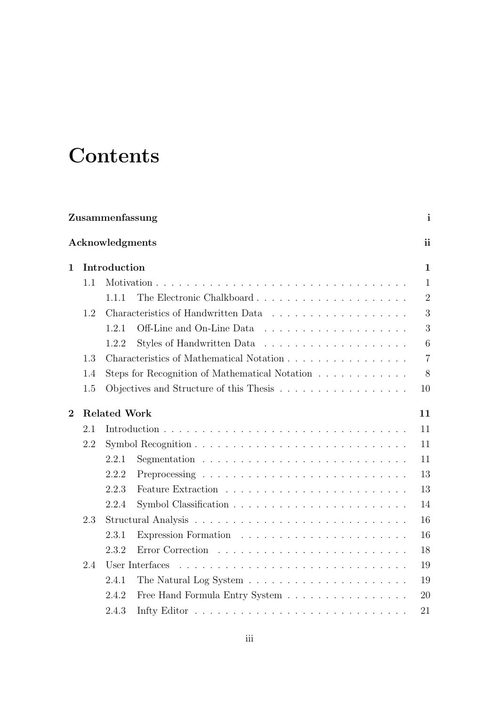## **Contents**

|                 | Zusammenfassung     |       |                                                                           |                |  |  |  |  |  |
|-----------------|---------------------|-------|---------------------------------------------------------------------------|----------------|--|--|--|--|--|
| Acknowledgments |                     |       |                                                                           |                |  |  |  |  |  |
| $\mathbf{1}$    | Introduction        |       |                                                                           |                |  |  |  |  |  |
|                 | 1.1                 |       |                                                                           | $\mathbf{1}$   |  |  |  |  |  |
|                 |                     | 1.1.1 | The Electronic Chalkboard                                                 | $\overline{2}$ |  |  |  |  |  |
|                 | 1.2                 |       |                                                                           | 3              |  |  |  |  |  |
|                 |                     | 1.2.1 |                                                                           | 3              |  |  |  |  |  |
|                 |                     | 1.2.2 |                                                                           | 6              |  |  |  |  |  |
|                 | 1.3                 |       | Characteristics of Mathematical Notation                                  | $\overline{7}$ |  |  |  |  |  |
|                 | 1.4                 |       | Steps for Recognition of Mathematical Notation                            | 8              |  |  |  |  |  |
|                 | 1.5                 |       | Objectives and Structure of this Thesis                                   | 10             |  |  |  |  |  |
| $\overline{2}$  | <b>Related Work</b> |       |                                                                           |                |  |  |  |  |  |
|                 | 2.1                 |       |                                                                           |                |  |  |  |  |  |
|                 | 2.2                 |       |                                                                           |                |  |  |  |  |  |
|                 |                     | 2.2.1 |                                                                           | 11             |  |  |  |  |  |
|                 |                     | 2.2.2 |                                                                           | 13             |  |  |  |  |  |
|                 |                     | 2.2.3 |                                                                           | 13             |  |  |  |  |  |
|                 |                     | 2.2.4 |                                                                           | 14             |  |  |  |  |  |
|                 | 2.3                 |       |                                                                           |                |  |  |  |  |  |
|                 |                     | 2.3.1 |                                                                           | 16             |  |  |  |  |  |
|                 |                     | 2.3.2 |                                                                           | 18             |  |  |  |  |  |
|                 | 2.4                 |       | User Interfaces                                                           | 19             |  |  |  |  |  |
|                 |                     | 2.4.1 | The Natural Log System $\ldots \ldots \ldots \ldots \ldots \ldots \ldots$ | 19             |  |  |  |  |  |
|                 |                     | 2.4.2 | Free Hand Formula Entry System                                            | 20             |  |  |  |  |  |
|                 |                     | 2.4.3 |                                                                           | 21             |  |  |  |  |  |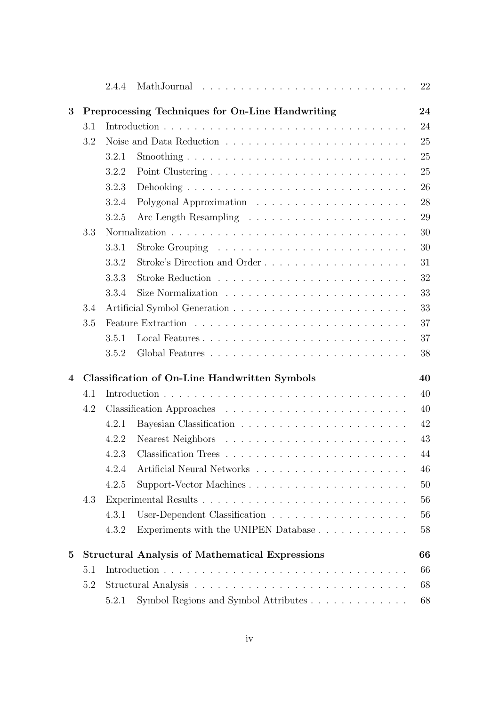|          |     | 2.4.4                                                |                                                        | 22       |  |  |
|----------|-----|------------------------------------------------------|--------------------------------------------------------|----------|--|--|
| 3        |     |                                                      | Preprocessing Techniques for On-Line Handwriting       | 24<br>24 |  |  |
|          | 3.1 |                                                      |                                                        |          |  |  |
|          | 3.2 |                                                      |                                                        | 25       |  |  |
|          |     | 3.2.1                                                |                                                        | 25       |  |  |
|          |     | 3.2.2                                                | Point Clustering                                       | 25       |  |  |
|          |     | 3.2.3                                                |                                                        | 26       |  |  |
|          |     | 3.2.4                                                |                                                        | 28       |  |  |
|          |     | 3.2.5                                                |                                                        | 29       |  |  |
|          | 3.3 |                                                      |                                                        | 30       |  |  |
|          |     | 3.3.1                                                |                                                        | 30       |  |  |
|          |     | 3.3.2                                                | Stroke's Direction and Order                           | 31       |  |  |
|          |     | 3.3.3                                                |                                                        | 32       |  |  |
|          |     | 3.3.4                                                |                                                        | 33       |  |  |
|          | 3.4 |                                                      |                                                        | 33       |  |  |
|          | 3.5 |                                                      |                                                        | 37       |  |  |
|          |     | 3.5.1                                                |                                                        | 37       |  |  |
|          |     | 3.5.2                                                |                                                        | 38       |  |  |
| 4        |     | <b>Classification of On-Line Handwritten Symbols</b> |                                                        |          |  |  |
|          | 4.1 |                                                      |                                                        |          |  |  |
|          | 4.2 |                                                      |                                                        |          |  |  |
|          |     | 4.2.1                                                |                                                        | 42       |  |  |
|          |     | 4.2.2                                                |                                                        | 43       |  |  |
|          |     | 4.2.3                                                |                                                        | 44       |  |  |
|          |     | 4.2.4                                                |                                                        | 46       |  |  |
|          |     | 4.2.5                                                | Support-Vector Machines                                | 50       |  |  |
|          | 4.3 |                                                      |                                                        |          |  |  |
|          |     | 4.3.1                                                |                                                        | 56       |  |  |
|          |     | 4.3.2                                                | Experiments with the UNIPEN Database                   | 58       |  |  |
| $\bf{5}$ |     |                                                      | <b>Structural Analysis of Mathematical Expressions</b> | 66       |  |  |
| 5.1      |     |                                                      |                                                        | 66       |  |  |
|          | 5.2 |                                                      | 68                                                     |          |  |  |
|          |     | 5.2.1                                                | Symbol Regions and Symbol Attributes                   | 68       |  |  |